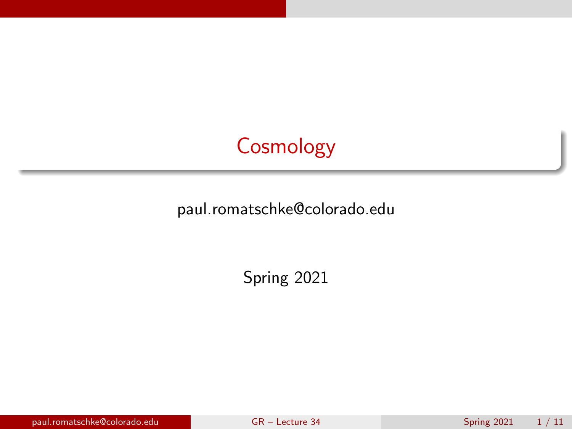# **Cosmology**

<span id="page-0-0"></span>paul.romatschke@colorado.edu

Spring 2021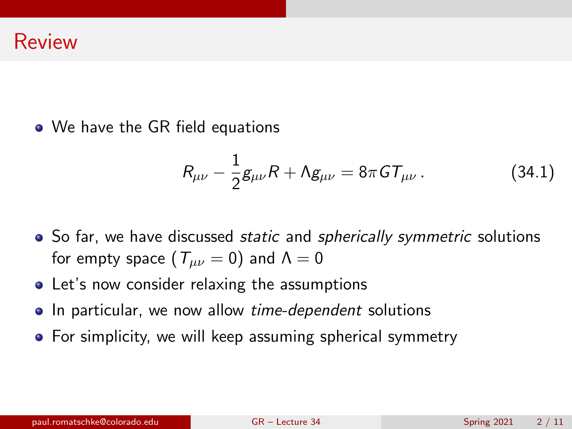• We have the GR field equations

<span id="page-1-0"></span>
$$
R_{\mu\nu} - \frac{1}{2}g_{\mu\nu}R + \Lambda g_{\mu\nu} = 8\pi G T_{\mu\nu}.
$$
 (34.1)

- So far, we have discussed *static* and *spherically symmetric* solutions for empty space  $(T_{\mu\nu}=0)$  and  $\Lambda=0$
- Let's now consider relaxing the assumptions
- In particular, we now allow *time-dependent* solutions
- For simplicity, we will keep assuming spherical symmetry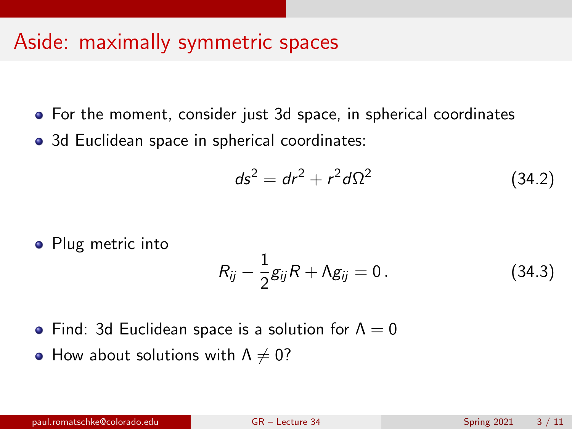- For the moment, consider just 3d space, in spherical coordinates
- 3d Euclidean space in spherical coordinates:

$$
ds^2 = dr^2 + r^2 d\Omega^2 \tag{34.2}
$$

• Plug metric into

$$
R_{ij}-\frac{1}{2}g_{ij}R+\Lambda g_{ij}=0.
$$
 (34.3)

- Find: 3d Euclidean space is a solution for  $\Lambda = 0$
- How about solutions with  $\Lambda \neq 0$ ?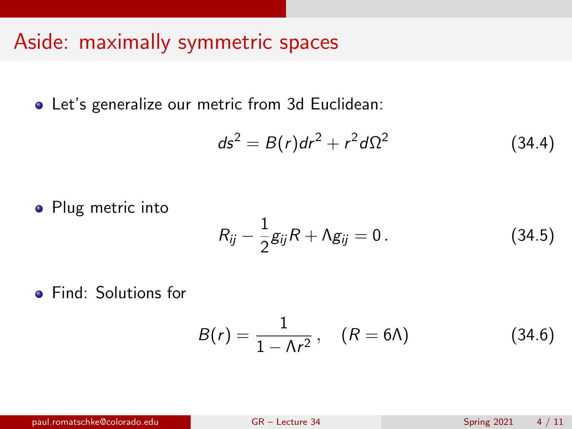Let's generalize our metric from 3d Euclidean:

$$
ds^2 = B(r)dr^2 + r^2d\Omega^2 \qquad (34.4)
$$

• Plug metric into

$$
R_{ij}-\frac{1}{2}g_{ij}R+\Lambda g_{ij}=0.
$$
 (34.5)

**•** Find: Solutions for

$$
B(r) = \frac{1}{1 - \Lambda r^2}, \quad (R = 6\Lambda) \tag{34.6}
$$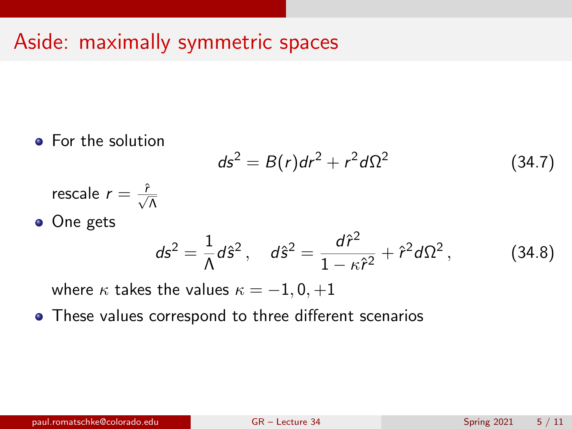• For the solution

$$
ds^2 = B(r)dr^2 + r^2d\Omega^2
$$
 (34.7)

- rescale  $r = \frac{\hat{r}}{\sqrt{\Lambda}}$
- One gets

$$
ds^{2} = \frac{1}{\Lambda} d\hat{s}^{2}, \quad d\hat{s}^{2} = \frac{d\hat{r}^{2}}{1 - \kappa \hat{r}^{2}} + \hat{r}^{2} d\Omega^{2}, \quad (34.8)
$$

where  $\kappa$  takes the values  $\kappa = -1, 0, +1$ 

These values correspond to three different scenarios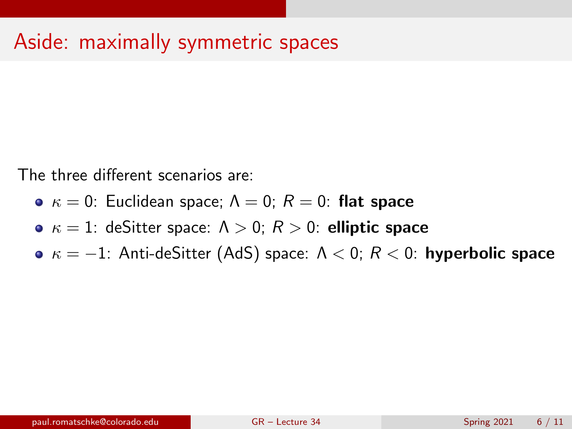The three different scenarios are:

- $\kappa = 0$ : Euclidean space;  $\Lambda = 0$ ;  $R = 0$ : flat space
- $\kappa = 1$ : deSitter space:  $\Lambda > 0$ ;  $R > 0$ : elliptic space
- $\bullet \kappa = -1$ : Anti-deSitter (AdS) space:  $\Lambda < 0$ ;  $R < 0$ : hyperbolic space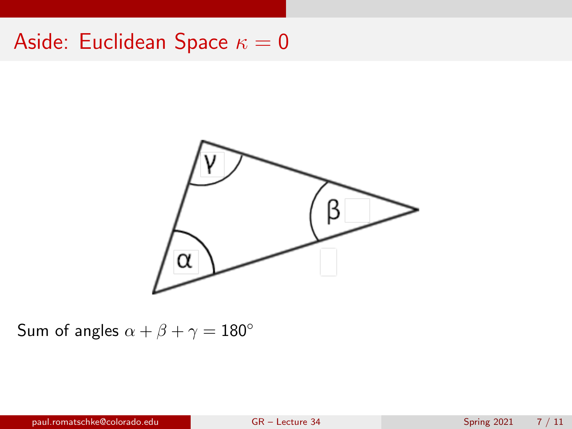### Aside: Euclidean Space  $\kappa = 0$



Sum of angles  $\alpha + \beta + \gamma = 180^\circ$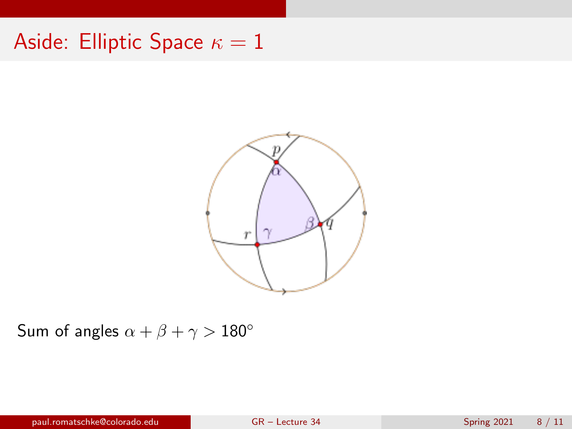## Aside: Elliptic Space  $\kappa = 1$



Sum of angles  $\alpha + \beta + \gamma > 180^\circ$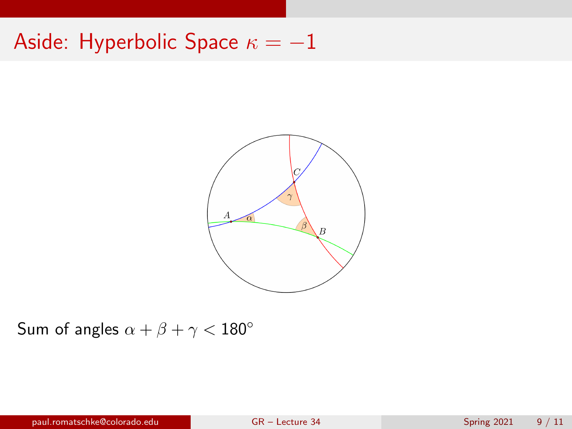## Aside: Hyperbolic Space  $\kappa = -1$



Sum of angles  $\alpha + \beta + \gamma < 180^\circ$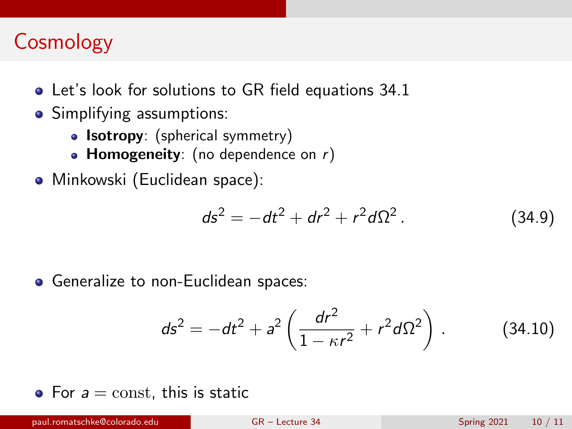# **Cosmology**

- Let's look for solutions to GR field equations [34.1](#page-1-0)
- Simplifying assumptions:
	- **Isotropy**: (spherical symmetry)
	- Homogeneity: (no dependence on  $r$ )
- Minkowski (Euclidean space):

$$
ds^{2} = -dt^{2} + dr^{2} + r^{2}d\Omega^{2}. \qquad (34.9)
$$

• Generalize to non-Euclidean spaces:

$$
ds^{2} = -dt^{2} + a^{2} \left( \frac{dr^{2}}{1 - \kappa r^{2}} + r^{2} d\Omega^{2} \right).
$$
 (34.10)

• For  $a = \text{const}$ , this is static